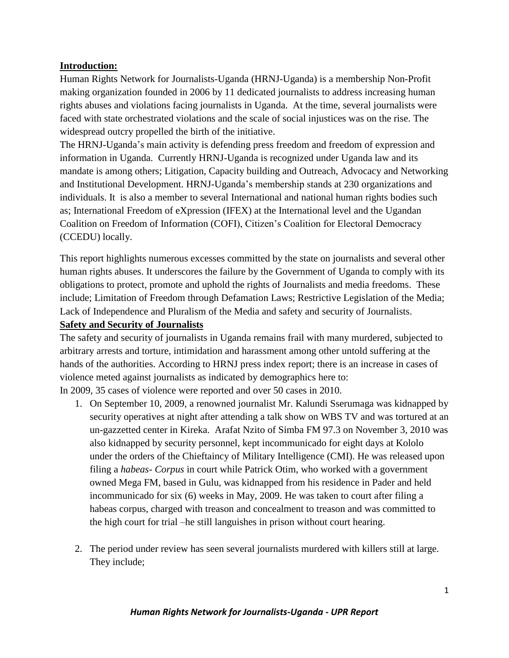# **Introduction:**

Human Rights Network for Journalists-Uganda (HRNJ-Uganda) is a membership Non-Profit making organization founded in 2006 by 11 dedicated journalists to address increasing human rights abuses and violations facing journalists in Uganda. At the time, several journalists were faced with state orchestrated violations and the scale of social injustices was on the rise. The widespread outcry propelled the birth of the initiative.

The HRNJ-Uganda's main activity is defending press freedom and freedom of expression and information in Uganda. Currently HRNJ-Uganda is recognized under Uganda law and its mandate is among others; Litigation, Capacity building and Outreach, Advocacy and Networking and Institutional Development. HRNJ-Uganda's membership stands at 230 organizations and individuals. It is also a member to several International and national human rights bodies such as; International Freedom of eXpression (IFEX) at the International level and the Ugandan Coalition on Freedom of Information (COFI), Citizen's Coalition for Electoral Democracy (CCEDU) locally.

This report highlights numerous excesses committed by the state on journalists and several other human rights abuses. It underscores the failure by the Government of Uganda to comply with its obligations to protect, promote and uphold the rights of Journalists and media freedoms. These include; Limitation of Freedom through Defamation Laws; Restrictive Legislation of the Media; Lack of Independence and Pluralism of the Media and safety and security of Journalists.

# **Safety and Security of Journalists**

The safety and security of journalists in Uganda remains frail with many murdered, subjected to arbitrary arrests and torture, intimidation and harassment among other untold suffering at the hands of the authorities. According to HRNJ press index report; there is an increase in cases of violence meted against journalists as indicated by demographics here to:

In 2009, 35 cases of violence were reported and over 50 cases in 2010.

- 1. On September 10, 2009, a renowned journalist Mr. Kalundi Sserumaga was kidnapped by security operatives at night after attending a talk show on WBS TV and was tortured at an un-gazzetted center in Kireka. Arafat Nzito of Simba FM 97.3 on November 3, 2010 was also kidnapped by security personnel, kept incommunicado for eight days at Kololo under the orders of the Chieftaincy of Military Intelligence (CMI). He was released upon filing a *habeas- Corpus* in court while Patrick Otim, who worked with a government owned Mega FM, based in Gulu, was kidnapped from his residence in Pader and held incommunicado for six (6) weeks in May, 2009. He was taken to court after filing a habeas corpus, charged with treason and concealment to treason and was committed to the high court for trial –he still languishes in prison without court hearing.
- 2. The period under review has seen several journalists murdered with killers still at large. They include;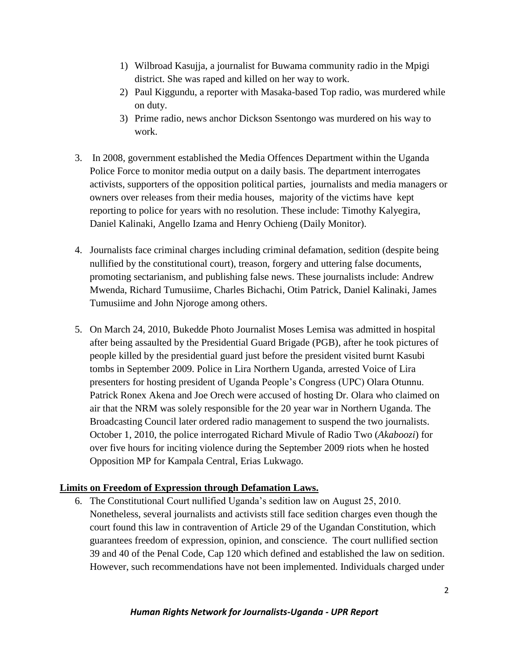- 1) Wilbroad Kasujja, a journalist for Buwama community radio in the Mpigi district. She was raped and killed on her way to work.
- 2) Paul Kiggundu, a reporter with Masaka-based Top radio, was murdered while on duty.
- 3) Prime radio, news anchor Dickson Ssentongo was murdered on his way to work.
- 3. In 2008, government established the Media Offences Department within the Uganda Police Force to monitor media output on a daily basis. The department interrogates activists, supporters of the opposition political parties, journalists and media managers or owners over releases from their media houses, majority of the victims have kept reporting to police for years with no resolution. These include: Timothy Kalyegira, Daniel Kalinaki, Angello Izama and Henry Ochieng (Daily Monitor).
- 4. Journalists face criminal charges including criminal defamation, sedition (despite being nullified by the constitutional court), treason, forgery and uttering false documents, promoting sectarianism, and publishing false news. These journalists include: Andrew Mwenda, Richard Tumusiime, Charles Bichachi, Otim Patrick, Daniel Kalinaki, James Tumusiime and John Njoroge among others.
- 5. On March 24, 2010, Bukedde Photo Journalist Moses Lemisa was admitted in hospital after being assaulted by the Presidential Guard Brigade (PGB), after he took pictures of people killed by the presidential guard just before the president visited burnt Kasubi tombs in September 2009. Police in Lira Northern Uganda, arrested Voice of Lira presenters for hosting president of Uganda People's Congress (UPC) Olara Otunnu. Patrick Ronex Akena and Joe Orech were accused of hosting Dr. Olara who claimed on air that the NRM was solely responsible for the 20 year war in Northern Uganda. The Broadcasting Council later ordered radio management to suspend the two journalists. October 1, 2010, the police interrogated Richard Mivule of Radio Two (*Akaboozi*) for over five hours for inciting violence during the September 2009 riots when he hosted Opposition MP for Kampala Central, Erias Lukwago.

# **Limits on Freedom of Expression through Defamation Laws.**

6. The Constitutional Court nullified Uganda's sedition law on August 25, 2010. Nonetheless, several journalists and activists still face sedition charges even though the court found this law in contravention of Article 29 of the Ugandan Constitution, which guarantees freedom of expression, opinion, and conscience. The court nullified section 39 and 40 of the Penal Code, Cap 120 which defined and established the law on sedition. However, such recommendations have not been implemented. Individuals charged under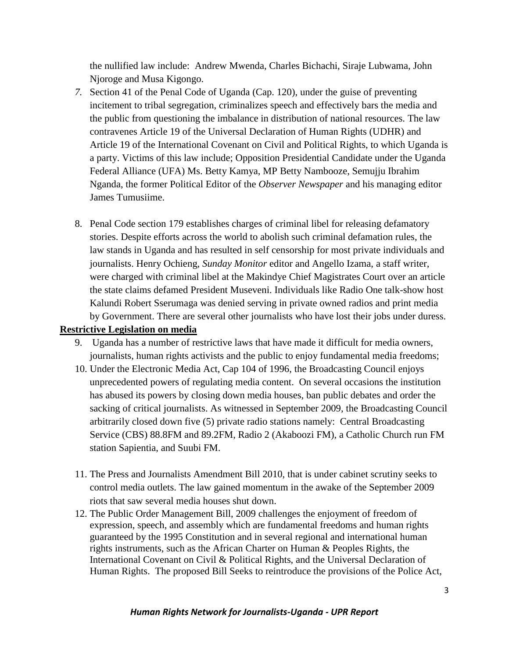the nullified law include: Andrew Mwenda, Charles Bichachi, Siraje Lubwama, John Njoroge and Musa Kigongo.

- *7.* Section 41 of the Penal Code of Uganda (Cap. 120), under the guise of preventing incitement to tribal segregation, criminalizes speech and effectively bars the media and the public from questioning the imbalance in distribution of national resources. The law contravenes Article 19 of the Universal Declaration of Human Rights (UDHR) and Article 19 of the International Covenant on Civil and Political Rights, to which Uganda is a party. Victims of this law include; Opposition Presidential Candidate under the Uganda Federal Alliance (UFA) Ms. Betty Kamya, MP Betty Nambooze, Semujju Ibrahim Nganda, the former Political Editor of the *Observer Newspaper* and his managing editor James Tumusiime.
- 8. Penal Code section 179 establishes charges of criminal libel for releasing defamatory stories. Despite efforts across the world to abolish such criminal defamation rules, the law stands in Uganda and has resulted in self censorship for most private individuals and journalists. Henry Ochieng, *Sunday Monitor* editor and Angello Izama, a staff writer, were charged with criminal libel at the Makindye Chief Magistrates Court over an article the state claims defamed President Museveni. Individuals like Radio One talk-show host Kalundi Robert Sserumaga was denied serving in private owned radios and print media by Government. There are several other journalists who have lost their jobs under duress.

### **Restrictive Legislation on media**

- 9. Uganda has a number of restrictive laws that have made it difficult for media owners, journalists, human rights activists and the public to enjoy fundamental media freedoms;
- 10. Under the Electronic Media Act, Cap 104 of 1996, the Broadcasting Council enjoys unprecedented powers of regulating media content. On several occasions the institution has abused its powers by closing down media houses, ban public debates and order the sacking of critical journalists. As witnessed in September 2009, the Broadcasting Council arbitrarily closed down five (5) private radio stations namely: Central Broadcasting Service (CBS) 88.8FM and 89.2FM, Radio 2 (Akaboozi FM), a Catholic Church run FM station Sapientia, and Suubi FM.
- 11. The Press and Journalists Amendment Bill 2010, that is under cabinet scrutiny seeks to control media outlets. The law gained momentum in the awake of the September 2009 riots that saw several media houses shut down.
- 12. The Public Order Management Bill, 2009 challenges the enjoyment of freedom of expression, speech, and assembly which are fundamental freedoms and human rights guaranteed by the 1995 Constitution and in several regional and international human rights instruments, such as the African Charter on Human & Peoples Rights, the International Covenant on Civil & Political Rights, and the Universal Declaration of Human Rights. The proposed Bill Seeks to reintroduce the provisions of the Police Act,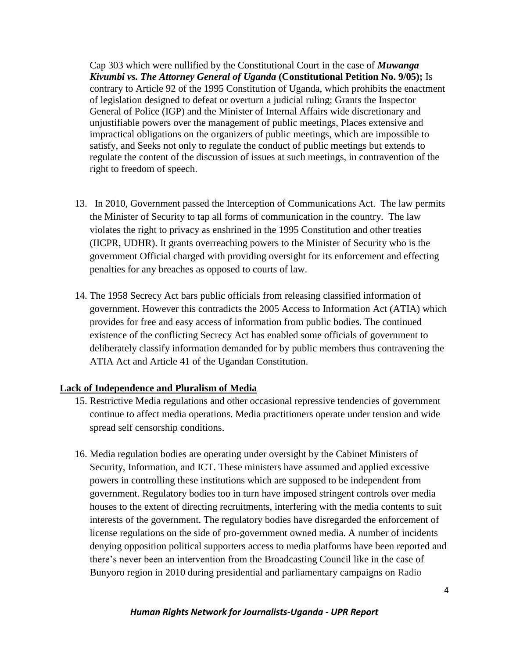Cap 303 which were nullified by the Constitutional Court in the case of *Muwanga Kivumbi vs. The Attorney General of Uganda* **(Constitutional Petition No. 9/05);** Is contrary to Article 92 of the 1995 Constitution of Uganda, which prohibits the enactment of legislation designed to defeat or overturn a judicial ruling; Grants the Inspector General of Police (IGP) and the Minister of Internal Affairs wide discretionary and unjustifiable powers over the management of public meetings, Places extensive and impractical obligations on the organizers of public meetings, which are impossible to satisfy, and Seeks not only to regulate the conduct of public meetings but extends to regulate the content of the discussion of issues at such meetings, in contravention of the right to freedom of speech.

- 13. In 2010, Government passed the Interception of Communications Act. The law permits the Minister of Security to tap all forms of communication in the country. The law violates the right to privacy as enshrined in the 1995 Constitution and other treaties (IICPR, UDHR). It grants overreaching powers to the Minister of Security who is the government Official charged with providing oversight for its enforcement and effecting penalties for any breaches as opposed to courts of law.
- 14. The 1958 Secrecy Act bars public officials from releasing classified information of government. However this contradicts the 2005 Access to Information Act (ATIA) which provides for free and easy access of information from public bodies. The continued existence of the conflicting Secrecy Act has enabled some officials of government to deliberately classify information demanded for by public members thus contravening the ATIA Act and Article 41 of the Ugandan Constitution.

### **Lack of Independence and Pluralism of Media**

- 15. Restrictive Media regulations and other occasional repressive tendencies of government continue to affect media operations. Media practitioners operate under tension and wide spread self censorship conditions.
- 16. Media regulation bodies are operating under oversight by the Cabinet Ministers of Security, Information, and ICT. These ministers have assumed and applied excessive powers in controlling these institutions which are supposed to be independent from government. Regulatory bodies too in turn have imposed stringent controls over media houses to the extent of directing recruitments, interfering with the media contents to suit interests of the government. The regulatory bodies have disregarded the enforcement of license regulations on the side of pro-government owned media. A number of incidents denying opposition political supporters access to media platforms have been reported and there's never been an intervention from the Broadcasting Council like in the case of Bunyoro region in 2010 during presidential and parliamentary campaigns on Radio